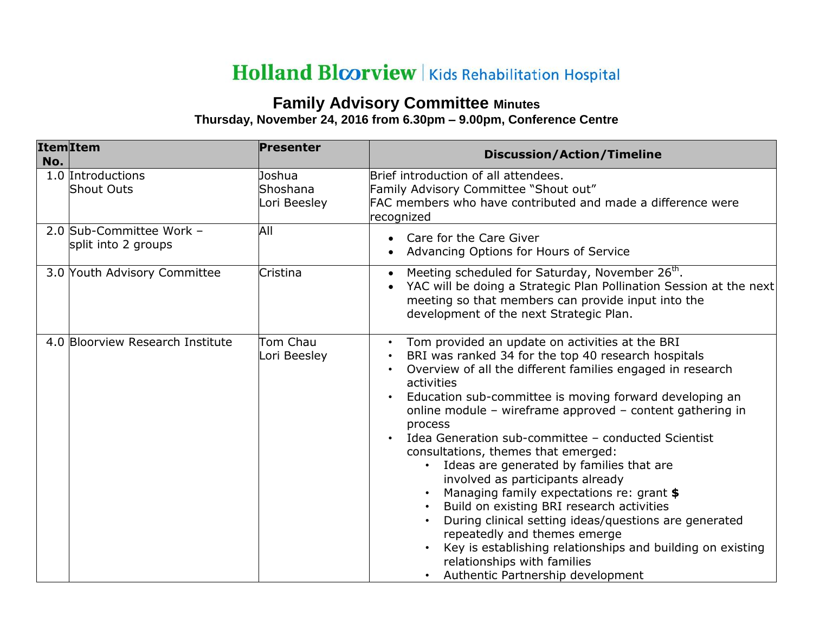## Holland Bloorview | Kids Rehabilitation Hospital

## **Family Advisory Committee Minutes Thursday, November 24, 2016 from 6.30pm – 9.00pm, Conference Centre**

| No. | <b>Item</b> Item                                | Presenter                          | <b>Discussion/Action/Timeline</b>                                                                                                                                                                                                                                                                                                                                                                                                                                                                                                                                                                                                                                                                                                                                                                                                                  |  |
|-----|-------------------------------------------------|------------------------------------|----------------------------------------------------------------------------------------------------------------------------------------------------------------------------------------------------------------------------------------------------------------------------------------------------------------------------------------------------------------------------------------------------------------------------------------------------------------------------------------------------------------------------------------------------------------------------------------------------------------------------------------------------------------------------------------------------------------------------------------------------------------------------------------------------------------------------------------------------|--|
|     | 1.0 Introductions<br><b>Shout Outs</b>          | Joshua<br>Shoshana<br>Lori Beesley | Brief introduction of all attendees.<br>Family Advisory Committee "Shout out"<br>FAC members who have contributed and made a difference were<br>recognized                                                                                                                                                                                                                                                                                                                                                                                                                                                                                                                                                                                                                                                                                         |  |
|     | 2.0 Sub-Committee Work -<br>split into 2 groups | All                                | Care for the Care Giver<br>Advancing Options for Hours of Service                                                                                                                                                                                                                                                                                                                                                                                                                                                                                                                                                                                                                                                                                                                                                                                  |  |
|     | 3.0 Youth Advisory Committee                    | Cristina                           | Meeting scheduled for Saturday, November 26 <sup>th</sup> .<br>YAC will be doing a Strategic Plan Pollination Session at the next<br>meeting so that members can provide input into the<br>development of the next Strategic Plan.                                                                                                                                                                                                                                                                                                                                                                                                                                                                                                                                                                                                                 |  |
|     | 4.0 Bloorview Research Institute                | Tom Chau<br>Lori Beesley           | Tom provided an update on activities at the BRI<br>BRI was ranked 34 for the top 40 research hospitals<br>Overview of all the different families engaged in research<br>activities<br>Education sub-committee is moving forward developing an<br>online module - wireframe approved - content gathering in<br>process<br>Idea Generation sub-committee - conducted Scientist<br>consultations, themes that emerged:<br>Ideas are generated by families that are<br>involved as participants already<br>Managing family expectations re: grant \$<br>Build on existing BRI research activities<br>$\bullet$<br>During clinical setting ideas/questions are generated<br>$\bullet$<br>repeatedly and themes emerge<br>Key is establishing relationships and building on existing<br>relationships with families<br>Authentic Partnership development |  |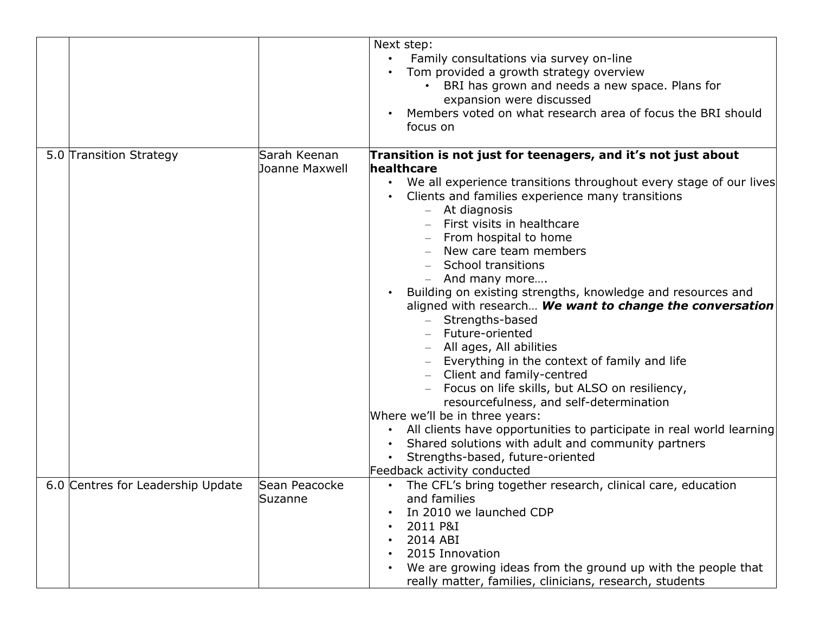|                                   |                                       | Next step:<br>Family consultations via survey on-line<br>Tom provided a growth strategy overview<br>BRI has grown and needs a new space. Plans for<br>expansion were discussed<br>Members voted on what research area of focus the BRI should<br>focus on                                                                                                                                                                                                                                                                                                                                                                                                                                                                                                                                                                                                                                                                                                                             |
|-----------------------------------|---------------------------------------|---------------------------------------------------------------------------------------------------------------------------------------------------------------------------------------------------------------------------------------------------------------------------------------------------------------------------------------------------------------------------------------------------------------------------------------------------------------------------------------------------------------------------------------------------------------------------------------------------------------------------------------------------------------------------------------------------------------------------------------------------------------------------------------------------------------------------------------------------------------------------------------------------------------------------------------------------------------------------------------|
| 5.0 Transition Strategy           | Sarah Keenan<br><b>Joanne Maxwell</b> | Transition is not just for teenagers, and it's not just about<br>healthcare<br>We all experience transitions throughout every stage of our lives<br>$\bullet$<br>Clients and families experience many transitions<br>At diagnosis<br>$\qquad \qquad -$<br>First visits in healthcare<br>From hospital to home<br>New care team members<br>School transitions<br>And many more<br>Building on existing strengths, knowledge and resources and<br>aligned with research We want to change the conversation<br>Strengths-based<br>Future-oriented<br>All ages, All abilities<br>Everything in the context of family and life<br>Client and family-centred<br>Focus on life skills, but ALSO on resiliency,<br>resourcefulness, and self-determination<br>Where we'll be in three years:<br>All clients have opportunities to participate in real world learning<br>Shared solutions with adult and community partners<br>Strengths-based, future-oriented<br>Feedback activity conducted |
| 6.0 Centres for Leadership Update | Sean Peacocke<br>Suzanne              | The CFL's bring together research, clinical care, education<br>and families<br>In 2010 we launched CDP<br>2011 P&I<br>2014 ABI<br>2015 Innovation<br>We are growing ideas from the ground up with the people that<br>really matter, families, clinicians, research, students                                                                                                                                                                                                                                                                                                                                                                                                                                                                                                                                                                                                                                                                                                          |